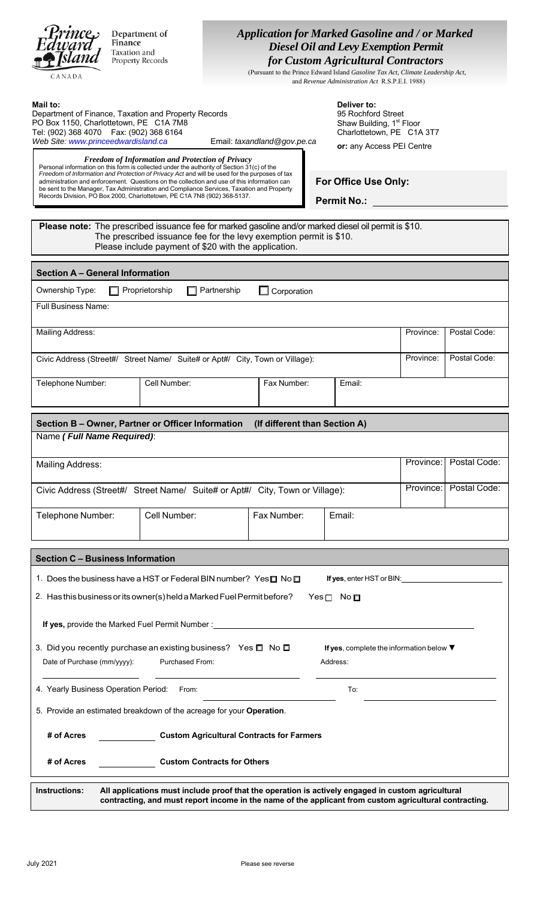| Princes<br><b>Application for Marked Gasoline and / or Marked</b><br>Department of<br>Finance<br><b>Diesel Oil and Levy Exemption Permit</b><br>Taxation and<br>for Custom Agricultural Contractors<br><b>Property Records</b><br>(Pursuant to the Prince Edward Island Gasoline Tax Act, Climate Leadership Act,<br>CANADA<br>and Revenue Administration Act R.S.P.E.I. 1988)                                                                                                                                                                          |                                                                                                                                                                                                             |                                                                                                                                                                                                                                            |           |              |  |  |
|---------------------------------------------------------------------------------------------------------------------------------------------------------------------------------------------------------------------------------------------------------------------------------------------------------------------------------------------------------------------------------------------------------------------------------------------------------------------------------------------------------------------------------------------------------|-------------------------------------------------------------------------------------------------------------------------------------------------------------------------------------------------------------|--------------------------------------------------------------------------------------------------------------------------------------------------------------------------------------------------------------------------------------------|-----------|--------------|--|--|
| Mail to:<br>Department of Finance, Taxation and Property Records<br>PO Box 1150, Charlottetown, PE C1A 7M8<br>Tel: (902) 368 4070   Fax: (902) 368 6164<br>Web Site: www.princeedwardisland.ca<br><b>Freedom of Information and Protection of Privacy</b><br>Personal information on this form is collected under the authority of Section 31(c) of the<br>Freedom of Information and Protection of Privacy Act and will be used for the purposes of tax<br>administration and enforcement. Questions on the collection and use of this information can | Email: taxandland@gov.pe.ca                                                                                                                                                                                 | Deliver to:<br>95 Rochford Street<br>Shaw Building, 1 <sup>st</sup> Floor<br>Charlottetown, PE C1A 3T7<br>or: any Access PEI Centre<br>For Office Use Only:                                                                                |           |              |  |  |
| be sent to the Manager, Tax Administration and Compliance Services, Taxation and Property<br>Records Division, PO Box 2000, Charlottetown, PE C1A 7N8 (902) 368-5137.<br><b>Permit No.:</b><br>Please note: The prescribed issuance fee for marked gasoline and/or marked diesel oil permit is \$10.<br>The prescribed issuance fee for the levy exemption permit is \$10.<br>Please include payment of \$20 with the application.                                                                                                                      |                                                                                                                                                                                                             |                                                                                                                                                                                                                                            |           |              |  |  |
| <b>Section A - General Information</b>                                                                                                                                                                                                                                                                                                                                                                                                                                                                                                                  |                                                                                                                                                                                                             |                                                                                                                                                                                                                                            |           |              |  |  |
| Ownership Type:<br>Proprietorship<br><b>Full Business Name:</b>                                                                                                                                                                                                                                                                                                                                                                                                                                                                                         | Partnership<br>Corporation                                                                                                                                                                                  |                                                                                                                                                                                                                                            |           |              |  |  |
|                                                                                                                                                                                                                                                                                                                                                                                                                                                                                                                                                         |                                                                                                                                                                                                             |                                                                                                                                                                                                                                            |           |              |  |  |
| <b>Mailing Address:</b>                                                                                                                                                                                                                                                                                                                                                                                                                                                                                                                                 |                                                                                                                                                                                                             |                                                                                                                                                                                                                                            | Province: | Postal Code: |  |  |
| Civic Address (Street#/ Street Name/ Suite# or Apt#/ City, Town or Village):                                                                                                                                                                                                                                                                                                                                                                                                                                                                            |                                                                                                                                                                                                             |                                                                                                                                                                                                                                            | Province: | Postal Code: |  |  |
| Cell Number:<br>Telephone Number:                                                                                                                                                                                                                                                                                                                                                                                                                                                                                                                       | Fax Number:                                                                                                                                                                                                 | Email:                                                                                                                                                                                                                                     |           |              |  |  |
| Section B - Owner, Partner or Officer Information                                                                                                                                                                                                                                                                                                                                                                                                                                                                                                       | (If different than Section A)                                                                                                                                                                               |                                                                                                                                                                                                                                            |           |              |  |  |
| Name (Full Name Required):                                                                                                                                                                                                                                                                                                                                                                                                                                                                                                                              |                                                                                                                                                                                                             |                                                                                                                                                                                                                                            |           |              |  |  |
| <b>Mailing Address:</b>                                                                                                                                                                                                                                                                                                                                                                                                                                                                                                                                 |                                                                                                                                                                                                             |                                                                                                                                                                                                                                            | Province: | Postal Code: |  |  |
| Civic Address (Street#/ Street Name/ Suite# or Apt#/ City, Town or Village):                                                                                                                                                                                                                                                                                                                                                                                                                                                                            |                                                                                                                                                                                                             |                                                                                                                                                                                                                                            | Province: | Postal Code: |  |  |
| Cell Number:<br>Telephone Number:                                                                                                                                                                                                                                                                                                                                                                                                                                                                                                                       | Fax Number:                                                                                                                                                                                                 | Email:                                                                                                                                                                                                                                     |           |              |  |  |
| <b>Section C - Business Information</b>                                                                                                                                                                                                                                                                                                                                                                                                                                                                                                                 |                                                                                                                                                                                                             |                                                                                                                                                                                                                                            |           |              |  |  |
| 1. Does the business have a HST or Federal BIN number? Yes $\Box$ No $\Box$                                                                                                                                                                                                                                                                                                                                                                                                                                                                             |                                                                                                                                                                                                             | <b>If yes</b> , enter HST or BIN: <u>contained and the set of the set of the set of the set of the set of the set of the set of the set of the set of the set of the set of the set of the set of the set of the set of the set of the</u> |           |              |  |  |
| 2. Has this business or its owner(s) held a Marked Fuel Permit before?                                                                                                                                                                                                                                                                                                                                                                                                                                                                                  |                                                                                                                                                                                                             | $Yes \Box No \Box$                                                                                                                                                                                                                         |           |              |  |  |
|                                                                                                                                                                                                                                                                                                                                                                                                                                                                                                                                                         |                                                                                                                                                                                                             |                                                                                                                                                                                                                                            |           |              |  |  |
| 3. Did you recently purchase an existing business? Yes □ No □<br><b>Purchased From:</b><br>Date of Purchase (mm/yyyy):                                                                                                                                                                                                                                                                                                                                                                                                                                  |                                                                                                                                                                                                             | If yes, complete the information below $\blacktriangledown$<br>Address:                                                                                                                                                                    |           |              |  |  |
| 4. Yearly Business Operation Period: From:                                                                                                                                                                                                                                                                                                                                                                                                                                                                                                              |                                                                                                                                                                                                             | To:                                                                                                                                                                                                                                        |           |              |  |  |
| 5. Provide an estimated breakdown of the acreage for your Operation.                                                                                                                                                                                                                                                                                                                                                                                                                                                                                    |                                                                                                                                                                                                             |                                                                                                                                                                                                                                            |           |              |  |  |
| # of Acres                                                                                                                                                                                                                                                                                                                                                                                                                                                                                                                                              | <b>Custom Agricultural Contracts for Farmers</b>                                                                                                                                                            |                                                                                                                                                                                                                                            |           |              |  |  |
| # of Acres                                                                                                                                                                                                                                                                                                                                                                                                                                                                                                                                              | <b>Custom Contracts for Others</b>                                                                                                                                                                          |                                                                                                                                                                                                                                            |           |              |  |  |
| Instructions:                                                                                                                                                                                                                                                                                                                                                                                                                                                                                                                                           | All applications must include proof that the operation is actively engaged in custom agricultural<br>contracting, and must report income in the name of the applicant from custom agricultural contracting. |                                                                                                                                                                                                                                            |           |              |  |  |

i.